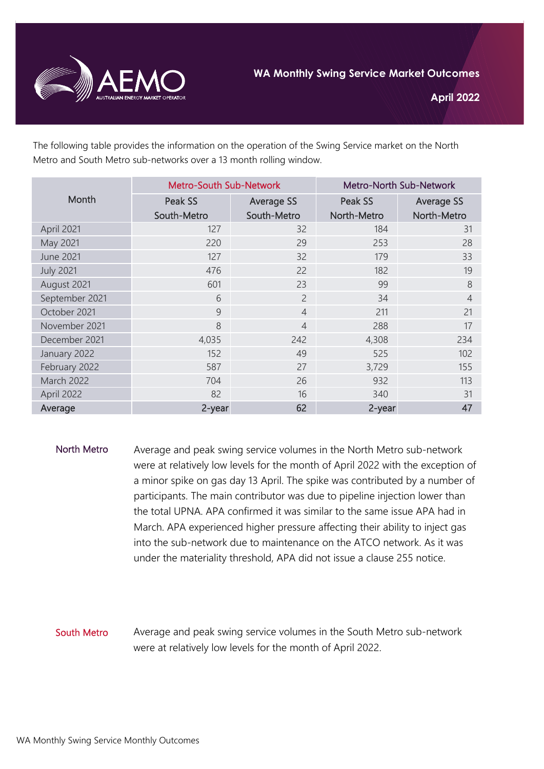

The following table provides the information on the operation of the Swing Service market on the North Metro and South Metro sub-networks over a 13 month rolling window.

| Month             | <b>Metro-South Sub-Network</b> |                   | Metro-North Sub-Network |                   |
|-------------------|--------------------------------|-------------------|-------------------------|-------------------|
|                   | Peak SS                        | <b>Average SS</b> | Peak SS                 | <b>Average SS</b> |
|                   | South-Metro                    | South-Metro       | North-Metro             | North-Metro       |
| April 2021        | 127                            | 32                | 184                     | 31                |
| May 2021          | 220                            | 29                | 253                     | 28                |
| <b>June 2021</b>  | 127                            | 32                | 179                     | 33                |
| <b>July 2021</b>  | 476                            | 22                | 182                     | 19                |
| August 2021       | 601                            | 23                | 99                      | 8                 |
| September 2021    | 6                              | $\overline{2}$    | 34                      | $\overline{4}$    |
| October 2021      | 9                              | $\overline{4}$    | 211                     | 21                |
| November 2021     | 8                              | $\overline{4}$    | 288                     | 17                |
| December 2021     | 4,035                          | 242               | 4,308                   | 234               |
| January 2022      | 152                            | 49                | 525                     | 102               |
| February 2022     | 587                            | 27                | 3,729                   | 155               |
| <b>March 2022</b> | 704                            | 26                | 932                     | 113               |
| April 2022        | 82                             | 16                | 340                     | 31                |
| Average           | 2-year                         | 62                | 2-year                  | 47                |

North Metro Average and peak swing service volumes in the North Metro sub-network were at relatively low levels for the month of April 2022 with the exception of a minor spike on gas day 13 April. The spike was contributed by a number of participants. The main contributor was due to pipeline injection lower than the total UPNA. APA confirmed it was similar to the same issue APA had in March. APA experienced higher pressure affecting their ability to inject gas into the sub-network due to maintenance on the ATCO network. As it was under the materiality threshold, APA did not issue a clause 255 notice.

## South Metro Average and peak swing service volumes in the South Metro sub-network were at relatively low levels for the month of April 2022.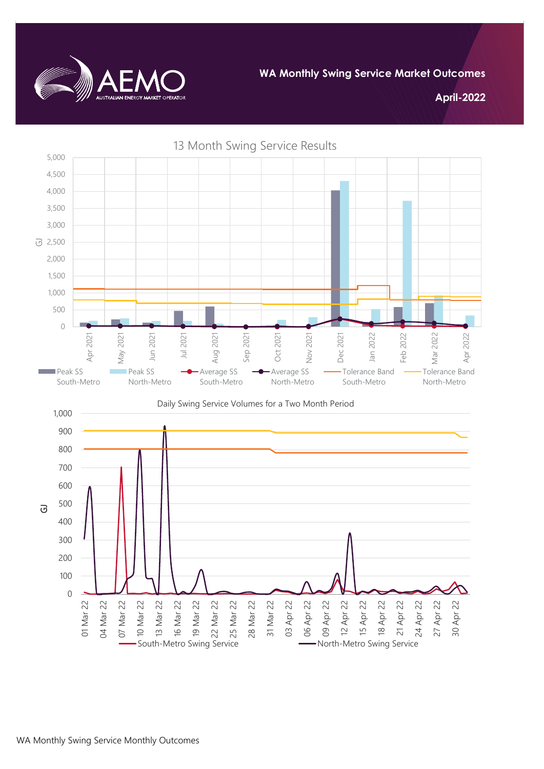

**April-2022**